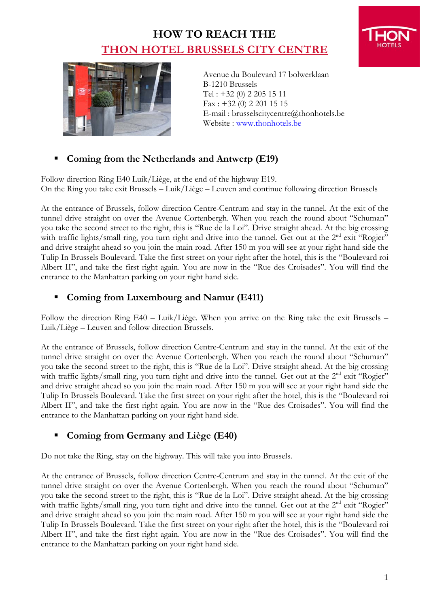## **HOW TO REACH THE THON HOTEL BRUSSELS CITY CENTRE**



Avenue du Boulevard 17 bolwerklaan B-1210 Brussels Tel : +32 (0) 2 205 15 11 Fax : +32 (0) 2 201 15 15 E-mail : brusselscitycentre@thonhotels.be Website : [www.thonhotels.be](http://www.thonhotels.be/)

### **Coming from the Netherlands and Antwerp (E19)**

Follow direction Ring E40 Luik/Liège, at the end of the highway E19. On the Ring you take exit Brussels – Luik/Liège – Leuven and continue following direction Brussels

At the entrance of Brussels, follow direction Centre-Centrum and stay in the tunnel. At the exit of the tunnel drive straight on over the Avenue Cortenbergh. When you reach the round about "Schuman" you take the second street to the right, this is "Rue de la Loi". Drive straight ahead. At the big crossing with traffic lights/small ring, you turn right and drive into the tunnel. Get out at the 2<sup>nd</sup> exit "Rogier" and drive straight ahead so you join the main road. After 150 m you will see at your right hand side the Tulip In Brussels Boulevard. Take the first street on your right after the hotel, this is the "Boulevard roi Albert II", and take the first right again. You are now in the "Rue des Croisades". You will find the entrance to the Manhattan parking on your right hand side.

### **Coming from Luxembourg and Namur (E411)**

Follow the direction Ring E40 – Luik/Liège. When you arrive on the Ring take the exit Brussels – Luik/Liège – Leuven and follow direction Brussels.

At the entrance of Brussels, follow direction Centre-Centrum and stay in the tunnel. At the exit of the tunnel drive straight on over the Avenue Cortenbergh. When you reach the round about "Schuman" you take the second street to the right, this is "Rue de la Loi". Drive straight ahead. At the big crossing with traffic lights/small ring, you turn right and drive into the tunnel. Get out at the 2<sup>nd</sup> exit "Rogier" and drive straight ahead so you join the main road. After 150 m you will see at your right hand side the Tulip In Brussels Boulevard. Take the first street on your right after the hotel, this is the "Boulevard roi Albert II", and take the first right again. You are now in the "Rue des Croisades". You will find the entrance to the Manhattan parking on your right hand side.

### **Coming from Germany and Liège (E40)**

Do not take the Ring, stay on the highway. This will take you into Brussels.

At the entrance of Brussels, follow direction Centre-Centrum and stay in the tunnel. At the exit of the tunnel drive straight on over the Avenue Cortenbergh. When you reach the round about "Schuman" you take the second street to the right, this is "Rue de la Loi". Drive straight ahead. At the big crossing with traffic lights/small ring, you turn right and drive into the tunnel. Get out at the 2<sup>nd</sup> exit "Rogier" and drive straight ahead so you join the main road. After 150 m you will see at your right hand side the Tulip In Brussels Boulevard. Take the first street on your right after the hotel, this is the "Boulevard roi Albert II", and take the first right again. You are now in the "Rue des Croisades". You will find the entrance to the Manhattan parking on your right hand side.